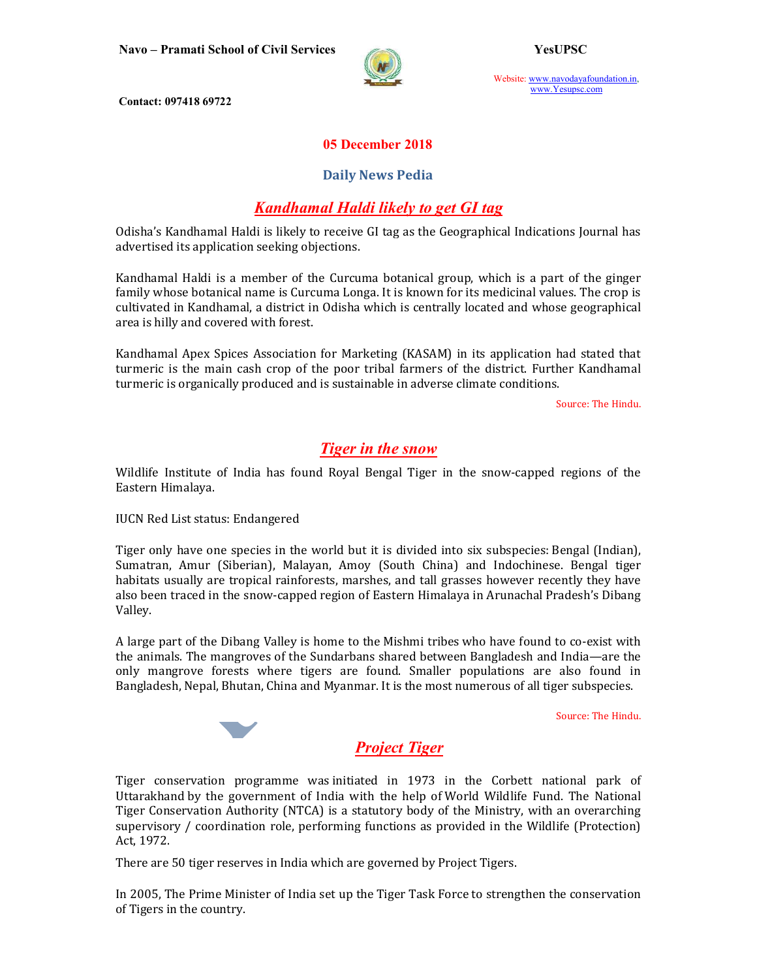

Website: www.navodayafoundation.in, www.Yesupsc.com

Contact: 097418 69722

### 05 December 2018

#### Daily News Pedia

## Kandhamal Haldi likely to get GI tag

Odisha's Kandhamal Haldi is likely to receive GI tag as the Geographical Indications Journal has advertised its application seeking objections.

Kandhamal Haldi is a member of the Curcuma botanical group, which is a part of the ginger family whose botanical name is Curcuma Longa. It is known for its medicinal values. The crop is cultivated in Kandhamal, a district in Odisha which is centrally located and whose geographical area is hilly and covered with forest.

Kandhamal Apex Spices Association for Marketing (KASAM) in its application had stated that turmeric is the main cash crop of the poor tribal farmers of the district. Further Kandhamal turmeric is organically produced and is sustainable in adverse climate conditions.

Source: The Hindu.

## Tiger in the snow

Wildlife Institute of India has found Royal Bengal Tiger in the snow-capped regions of the Eastern Himalaya.

IUCN Red List status: Endangered

Tiger only have one species in the world but it is divided into six subspecies: Bengal (Indian), Sumatran, Amur (Siberian), Malayan, Amoy (South China) and Indochinese. Bengal tiger habitats usually are tropical rainforests, marshes, and tall grasses however recently they have also been traced in the snow-capped region of Eastern Himalaya in Arunachal Pradesh's Dibang Valley.

A large part of the Dibang Valley is home to the Mishmi tribes who have found to co-exist with the animals. The mangroves of the Sundarbans shared between Bangladesh and India—are the only mangrove forests where tigers are found. Smaller populations are also found in Bangladesh, Nepal, Bhutan, China and Myanmar. It is the most numerous of all tiger subspecies.

Source: The Hindu.

# Project Tiger

Tiger conservation programme was initiated in 1973 in the Corbett national park of Uttarakhand by the government of India with the help of World Wildlife Fund. The National Tiger Conservation Authority (NTCA) is a statutory body of the Ministry, with an overarching supervisory / coordination role, performing functions as provided in the Wildlife (Protection) Act, 1972.

There are 50 tiger reserves in India which are governed by Project Tigers.

In 2005, The Prime Minister of India set up the Tiger Task Force to strengthen the conservation of Tigers in the country.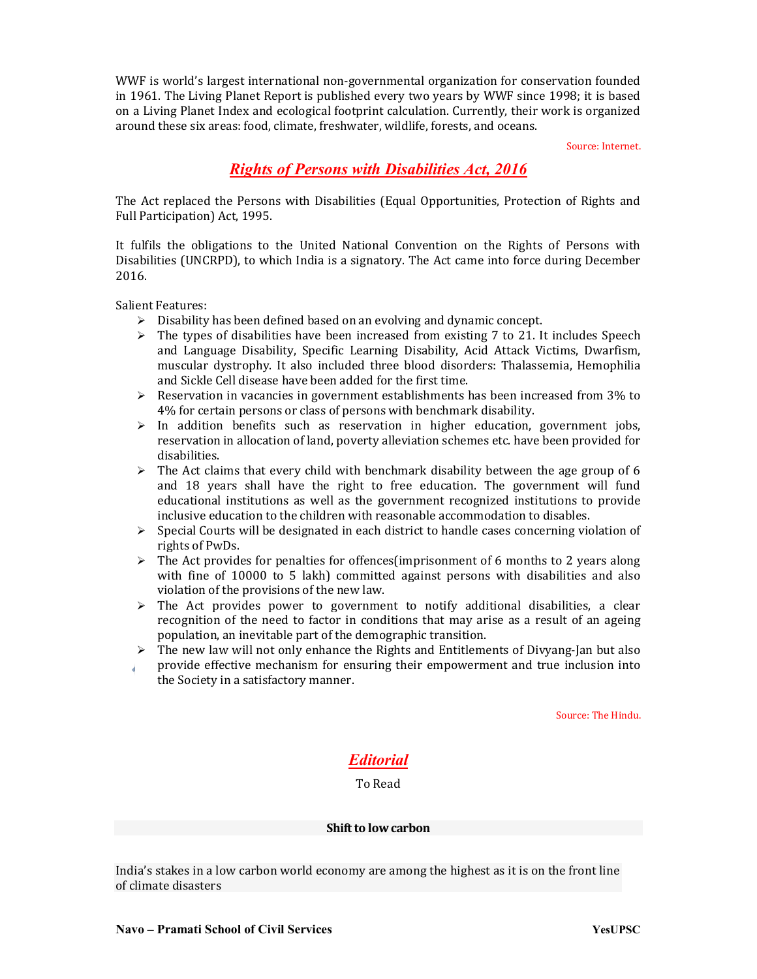WWF is world's largest international non-governmental organization for conservation founded in 1961. The Living Planet Report is published every two years by WWF since 1998; it is based on a Living Planet Index and ecological footprint calculation. Currently, their work is organized around these six areas: food, climate, freshwater, wildlife, forests, and oceans.

Source: Internet.

# Rights of Persons with Disabilities Act, 2016

The Act replaced the Persons with Disabilities (Equal Opportunities, Protection of Rights and Full Participation) Act, 1995.

It fulfils the obligations to the United National Convention on the Rights of Persons with Disabilities (UNCRPD), to which India is a signatory. The Act came into force during December 2016.

Salient Features:

- $\triangleright$  Disability has been defined based on an evolving and dynamic concept.
- $\triangleright$  The types of disabilities have been increased from existing 7 to 21. It includes Speech and Language Disability, Specific Learning Disability, Acid Attack Victims, Dwarfism, muscular dystrophy. It also included three blood disorders: Thalassemia, Hemophilia and Sickle Cell disease have been added for the first time.
- $\triangleright$  Reservation in vacancies in government establishments has been increased from 3% to 4% for certain persons or class of persons with benchmark disability.
- $\triangleright$  In addition benefits such as reservation in higher education, government jobs, reservation in allocation of land, poverty alleviation schemes etc. have been provided for disabilities.
- $\triangleright$  The Act claims that every child with benchmark disability between the age group of 6 and 18 years shall have the right to free education. The government will fund educational institutions as well as the government recognized institutions to provide inclusive education to the children with reasonable accommodation to disables.
- $\triangleright$  Special Courts will be designated in each district to handle cases concerning violation of rights of PwDs.
- $\triangleright$  The Act provides for penalties for offences(imprisonment of 6 months to 2 years along with fine of 10000 to 5 lakh) committed against persons with disabilities and also violation of the provisions of the new law.
- The Act provides power to government to notify additional disabilities, a clear recognition of the need to factor in conditions that may arise as a result of an ageing population, an inevitable part of the demographic transition.
- $\triangleright$  The new law will not only enhance the Rights and Entitlements of Divyang-Jan but also
- provide effective mechanism for ensuring their empowerment and true inclusion into the Society in a satisfactory manner.

Source: The Hindu.

## Editorial

#### To Read

#### Shift to low carbon

India's stakes in a low carbon world economy are among the highest as it is on the front line of climate disasters